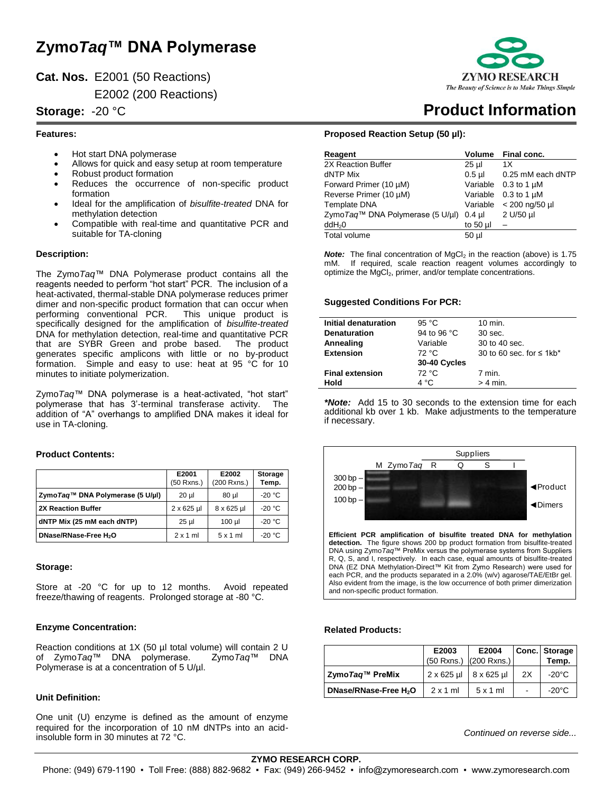# **Zymo***Taq***™ DNA Polymerase**

**Cat. Nos.** E2001 (50 Reactions)

E2002 (200 Reactions)

# **Features:**

- Hot start DNA polymerase
- Allows for quick and easy setup at room temperature
- Robust product formation
- Reduces the occurrence of non-specific product formation
- Ideal for the amplification of *bisulfite-treated* DNA for methylation detection
- Compatible with real-time and quantitative PCR and suitable for TA-cloning

# **Description:**

The Zymo*Taq*™ DNA Polymerase product contains all the reagents needed to perform "hot start" PCR. The inclusion of a heat-activated, thermal-stable DNA polymerase reduces primer dimer and non-specific product formation that can occur when performing conventional PCR. This unique product is specifically designed for the amplification of *bisulfite-treated* DNA for methylation detection, real-time and quantitative PCR that are SYBR Green and probe based. The product generates specific amplicons with little or no by-product formation. Simple and easy to use: heat at 95 °C for 10 minutes to initiate polymerization.

Zymo*Taq*™ DNA polymerase is a heat-activated, "hot start" polymerase that has 3'-terminal transferase activity. The addition of "A" overhangs to amplified DNA makes it ideal for use in TA-cloning.

# **Product Contents:**

|                                           | E2001<br>(50 Rxns.) | E2002<br>(200 Rxns.) | <b>Storage</b><br>Temp. |
|-------------------------------------------|---------------------|----------------------|-------------------------|
| Zymo <i>Tag</i> ™ DNA Polymerase (5 U/µl) | $20 \mu$            | $80$ µl              | $-20 °C$                |
| <b>2X Reaction Buffer</b>                 | $2 \times 625$ µl   | $8 \times 625$ µl    | -20 $^{\circ}$ C        |
| dNTP Mix (25 mM each dNTP)                | $25$ µ              | $100$ µl             | $-20 °C$                |
| DNase/RNase-Free H <sub>2</sub> O         | $2 \times 1$ ml     | $5 \times 1$ ml      | $-20 °C$                |

#### **Storage:**

Store at -20 °C for up to 12 months. Avoid repeated freeze/thawing of reagents. Prolonged storage at -80 °C.

# **Enzyme Concentration:**

Reaction conditions at 1X (50 µl total volume) will contain 2 U of Zymo*Taq*™ DNA polymerase. Zymo*Taq*™ DNA Polymerase is at a concentration of 5 U/µl.

# **Unit Definition:**

One unit (U) enzyme is defined as the amount of enzyme required for the incorporation of 10 nM dNTPs into an acidinsoluble form in 30 minutes at 72 °C.



# **Storage:** -20 °C **Product Information**

#### **Proposed Reaction Setup (50 µl):**

| Reagent                             | <b>Volume</b>   | Final conc.        |
|-------------------------------------|-----------------|--------------------|
| 2X Reaction Buffer                  | 25 µl           | 1X                 |
| dNTP Mix                            | $0.5$ µl        | 0.25 mM each dNTP  |
| Forward Primer (10 µM)              | Variable        | $0.3$ to 1 $\mu$ M |
| Reverse Primer (10 µM)              | Variable        | $0.3$ to 1 $\mu$ M |
| Template DNA                        | Variable        | < 200 ng/50 µl     |
| Zymo $Taq™$ DNA Polymerase (5 U/µl) | $0.4$ µl        | 2 U/50 µl          |
| ddH <sub>2</sub> 0                  | to 50 $\mu$     |                    |
| Total volume                        | 50 <sub>µ</sub> |                    |

*Note:* The final concentration of MgCl<sub>2</sub> in the reaction (above) is 1.75 mM. If required, scale reaction reagent volumes accordingly to optimize the MgCl<sub>2</sub>, primer, and/or template concentrations.

#### **Suggested Conditions For PCR:**

| Initial denaturation   | 95 $°C$      | $10$ min.                                  |
|------------------------|--------------|--------------------------------------------|
| <b>Denaturation</b>    | 94 to 96 °C  | $30$ sec.                                  |
| Annealing              | Variable     | 30 to 40 sec.                              |
| <b>Extension</b>       | 72 °C        | 30 to 60 sec. for $\leq 1$ kb <sup>*</sup> |
|                        | 30-40 Cycles |                                            |
| <b>Final extension</b> | 72 °C        | 7 min.                                     |
| Hold                   | 4 °C         | $> 4$ min.                                 |

*\*Note:* Add 15 to 30 seconds to the extension time for each additional kb over 1 kb. Make adjustments to the temperature if necessary.



#### **Related Products:**

|                                   | E2003                               | E2004                      |                | Conc. Storage |
|-----------------------------------|-------------------------------------|----------------------------|----------------|---------------|
|                                   |                                     | $(50$ Rxns.) $(200$ Rxns.) |                | Temp.         |
| Zymo Tag™ PreMix                  | $2 \times 625$ µl 8 $\times 625$ µl |                            | 2X             | -20°C         |
| DNase/RNase-Free H <sub>2</sub> O | $2x1$ ml                            | $5x1$ ml                   | $\blacksquare$ | -20°C         |

*Continued on reverse side...*